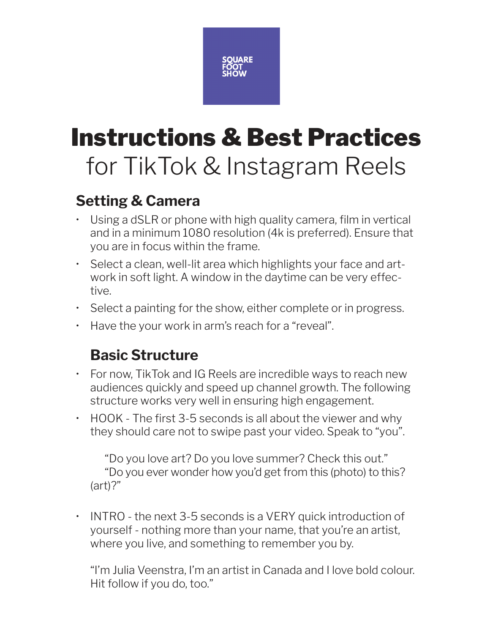

# Instructions & Best Practices for TikTok & Instagram Reels

## **Setting & Camera**

- Using a dSLR or phone with high quality camera, film in vertical and in a minimum 1080 resolution (4k is preferred). Ensure that you are in focus within the frame.
- Select a clean, well-lit area which highlights your face and artwork in soft light. A window in the daytime can be very effective.
- Select a painting for the show, either complete or in progress.
- Have the your work in arm's reach for a "reveal".

# **Basic Structure**

- For now, TikTok and IG Reels are incredible ways to reach new audiences quickly and speed up channel growth. The following structure works very well in ensuring high engagement.
- HOOK The first 3-5 seconds is all about the viewer and why they should care not to swipe past your video. Speak to "you".

"Do you love art? Do you love summer? Check this out." "Do you ever wonder how you'd get from this (photo) to this? (art)?"

• INTRO - the next 3-5 seconds is a VERY quick introduction of yourself - nothing more than your name, that you're an artist, where you live, and something to remember you by.

"I'm Julia Veenstra, I'm an artist in Canada and I love bold colour. Hit follow if you do, too."